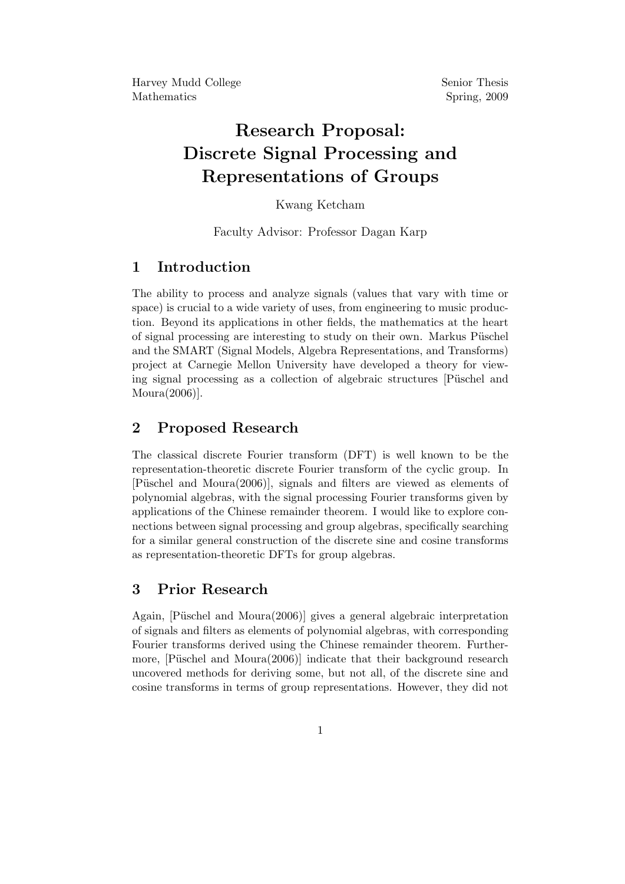# Research Proposal: Discrete Signal Processing and Representations of Groups

#### Kwang Ketcham

Faculty Advisor: Professor Dagan Karp

## 1 Introduction

The ability to process and analyze signals (values that vary with time or space) is crucial to a wide variety of uses, from engineering to music production. Beyond its applications in other fields, the mathematics at the heart of signal processing are interesting to study on their own. Markus Püschel and the SMART (Signal Models, Algebra Representations, and Transforms) project at Carnegie Mellon University have developed a theory for viewing signal processing as a collection of algebraic structures [Püschel and Moura(2006)].

## 2 Proposed Research

The classical discrete Fourier transform (DFT) is well known to be the representation-theoretic discrete Fourier transform of the cyclic group. In [Püschel and Moura(2006)], signals and filters are viewed as elements of polynomial algebras, with the signal processing Fourier transforms given by applications of the Chinese remainder theorem. I would like to explore connections between signal processing and group algebras, specifically searching for a similar general construction of the discrete sine and cosine transforms as representation-theoretic DFTs for group algebras.

### 3 Prior Research

Again, [Püschel and Moura(2006)] gives a general algebraic interpretation of signals and filters as elements of polynomial algebras, with corresponding Fourier transforms derived using the Chinese remainder theorem. Furthermore,  $[P$ üschel and Moura $(2006)$ ] indicate that their background research uncovered methods for deriving some, but not all, of the discrete sine and cosine transforms in terms of group representations. However, they did not